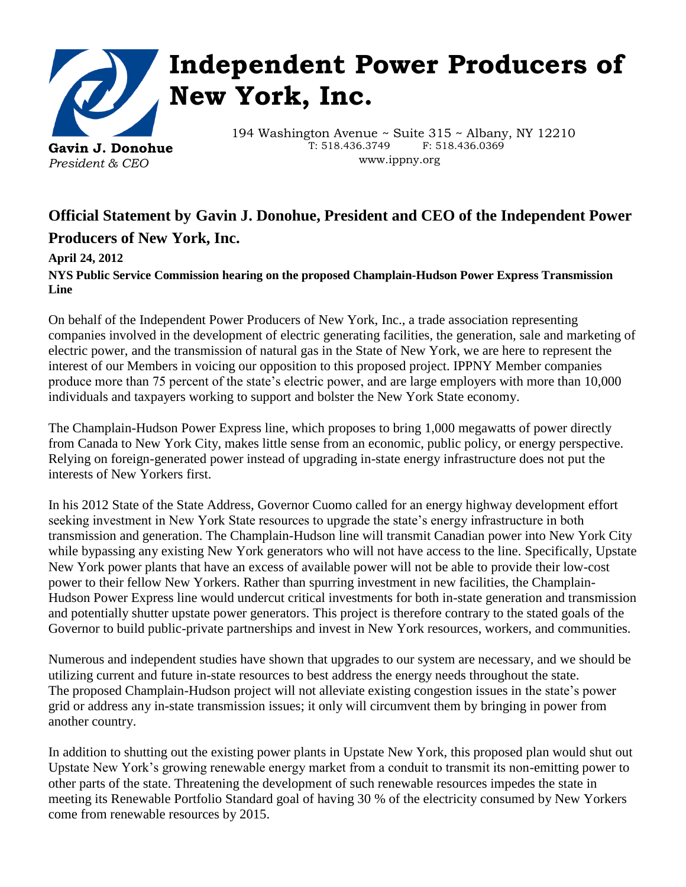

## **Independent Power Producers of New York, Inc.**

194 Washington Avenue ~ Suite 315 ~ Albany, NY 12210 T: 518.436.3749 F: 518.436.0369 www.ippny.org

## **Official Statement by Gavin J. Donohue, President and CEO of the Independent Power Producers of New York, Inc.**

## **April 24, 2012**

**NYS Public Service Commission hearing on the proposed Champlain-Hudson Power Express Transmission Line**

On behalf of the Independent Power Producers of New York, Inc., a trade association representing companies involved in the development of electric generating facilities, the generation, sale and marketing of electric power, and the transmission of natural gas in the State of New York, we are here to represent the interest of our Members in voicing our opposition to this proposed project. IPPNY Member companies produce more than 75 percent of the state's electric power, and are large employers with more than 10,000 individuals and taxpayers working to support and bolster the New York State economy.

The Champlain-Hudson Power Express line, which proposes to bring 1,000 megawatts of power directly from Canada to New York City, makes little sense from an economic, public policy, or energy perspective. Relying on foreign-generated power instead of upgrading in-state energy infrastructure does not put the interests of New Yorkers first.

In his 2012 State of the State Address, Governor Cuomo called for an energy highway development effort seeking investment in New York State resources to upgrade the state's energy infrastructure in both transmission and generation. The Champlain-Hudson line will transmit Canadian power into New York City while bypassing any existing New York generators who will not have access to the line. Specifically, Upstate New York power plants that have an excess of available power will not be able to provide their low-cost power to their fellow New Yorkers. Rather than spurring investment in new facilities, the Champlain-Hudson Power Express line would undercut critical investments for both in-state generation and transmission and potentially shutter upstate power generators. This project is therefore contrary to the stated goals of the Governor to build public-private partnerships and invest in New York resources, workers, and communities.

Numerous and independent studies have shown that upgrades to our system are necessary, and we should be utilizing current and future in-state resources to best address the energy needs throughout the state. The proposed Champlain-Hudson project will not alleviate existing congestion issues in the state's power grid or address any in-state transmission issues; it only will circumvent them by bringing in power from another country.

In addition to shutting out the existing power plants in Upstate New York, this proposed plan would shut out Upstate New York's growing renewable energy market from a conduit to transmit its non-emitting power to other parts of the state. Threatening the development of such renewable resources impedes the state in meeting its Renewable Portfolio Standard goal of having 30 % of the electricity consumed by New Yorkers come from renewable resources by 2015.